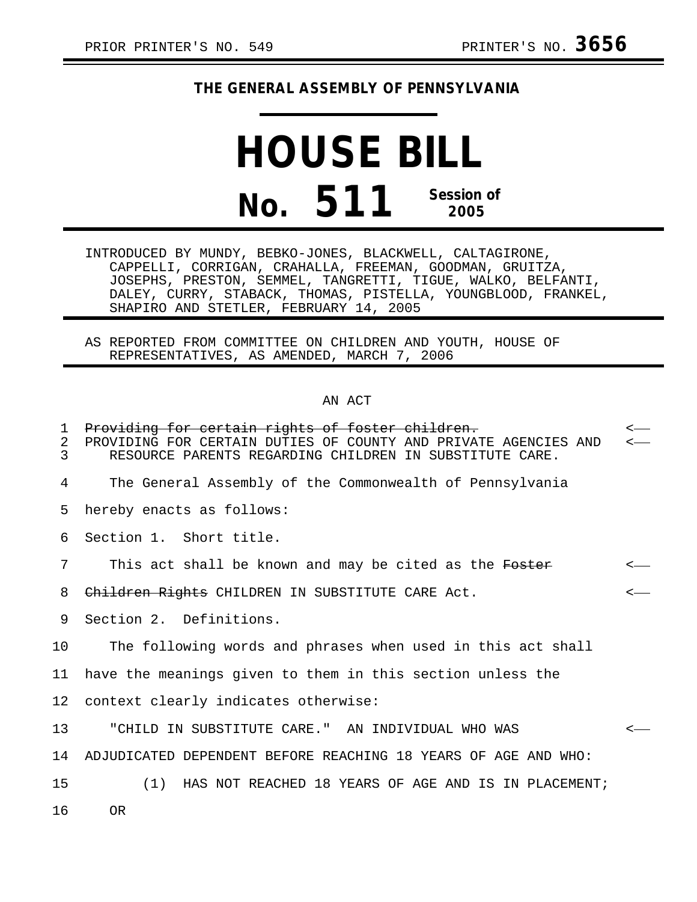## **THE GENERAL ASSEMBLY OF PENNSYLVANIA**

## **HOUSE BILL No. 511 Session of 2005**

INTRODUCED BY MUNDY, BEBKO-JONES, BLACKWELL, CALTAGIRONE, CAPPELLI, CORRIGAN, CRAHALLA, FREEMAN, GOODMAN, GRUITZA, JOSEPHS, PRESTON, SEMMEL, TANGRETTI, TIGUE, WALKO, BELFANTI, DALEY, CURRY, STABACK, THOMAS, PISTELLA, YOUNGBLOOD, FRANKEL, SHAPIRO AND STETLER, FEBRUARY 14, 2005

AS REPORTED FROM COMMITTEE ON CHILDREN AND YOUTH, HOUSE OF REPRESENTATIVES, AS AMENDED, MARCH 7, 2006

## AN ACT

1 Providing for certain rights of foster children. 2 PROVIDING FOR CERTAIN DUTIES OF COUNTY AND PRIVATE AGENCIES AND 3 RESOURCE PARENTS REGARDING CHILDREN IN SUBSTITUTE CARE. RESOURCE PARENTS REGARDING CHILDREN IN SUBSTITUTE CARE. 4 The General Assembly of the Commonwealth of Pennsylvania 5 hereby enacts as follows: 6 Section 1. Short title. 7 This act shall be known and may be cited as the Foster 8 Children Rights CHILDREN IN SUBSTITUTE CARE Act. 9 Section 2. Definitions. 10 The following words and phrases when used in this act shall 11 have the meanings given to them in this section unless the 12 context clearly indicates otherwise: 13 "CHILD IN SUBSTITUTE CARE." AN INDIVIDUAL WHO WAS < 14 ADJUDICATED DEPENDENT BEFORE REACHING 18 YEARS OF AGE AND WHO: 15 (1) HAS NOT REACHED 18 YEARS OF AGE AND IS IN PLACEMENT; 16 OR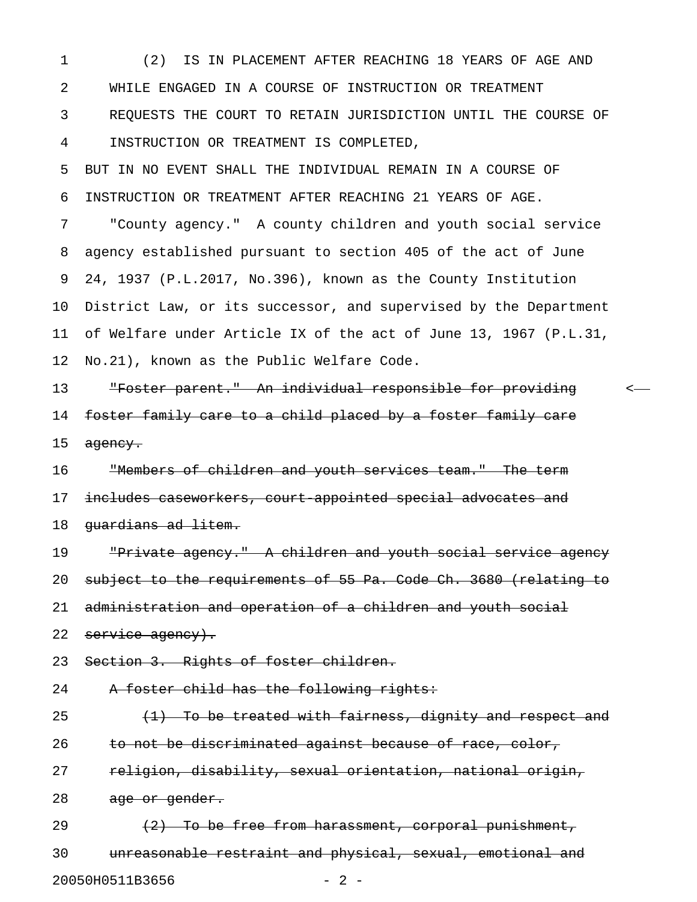1 (2) IS IN PLACEMENT AFTER REACHING 18 YEARS OF AGE AND 2 WHILE ENGAGED IN A COURSE OF INSTRUCTION OR TREATMENT 3 REQUESTS THE COURT TO RETAIN JURISDICTION UNTIL THE COURSE OF 4 INSTRUCTION OR TREATMENT IS COMPLETED,

5 BUT IN NO EVENT SHALL THE INDIVIDUAL REMAIN IN A COURSE OF 6 INSTRUCTION OR TREATMENT AFTER REACHING 21 YEARS OF AGE.

7 "County agency." A county children and youth social service 8 agency established pursuant to section 405 of the act of June 9 24, 1937 (P.L.2017, No.396), known as the County Institution 10 District Law, or its successor, and supervised by the Department 11 of Welfare under Article IX of the act of June 13, 1967 (P.L.31, 12 No.21), known as the Public Welfare Code.

13 "Foster parent." An individual responsible for providing < 14 foster family care to a child placed by a foster family care 15 agency.

16 "Members of children and youth services team." The term 17 includes caseworkers, court appointed special advocates and 18 quardians ad litem.

19 "Private agency." A children and youth social service agency 20 subject to the requirements of 55 Pa. Code Ch. 3680 (relating to 21 administration and operation of a children and youth social 22 service agency).

23 Section 3. Rights of foster children.

24 A foster child has the following rights:

25  $(1)$  To be treated with fairness, dignity and respect and 26 to not be discriminated against because of race, color, 27 religion, disability, sexual orientation, national origin, 28 age or gender. 29  $(2)$  To be free from harassment, corporal punishment,

30 unreasonable restraint and physical, sexual, emotional and 20050H0511B3656 - 2 -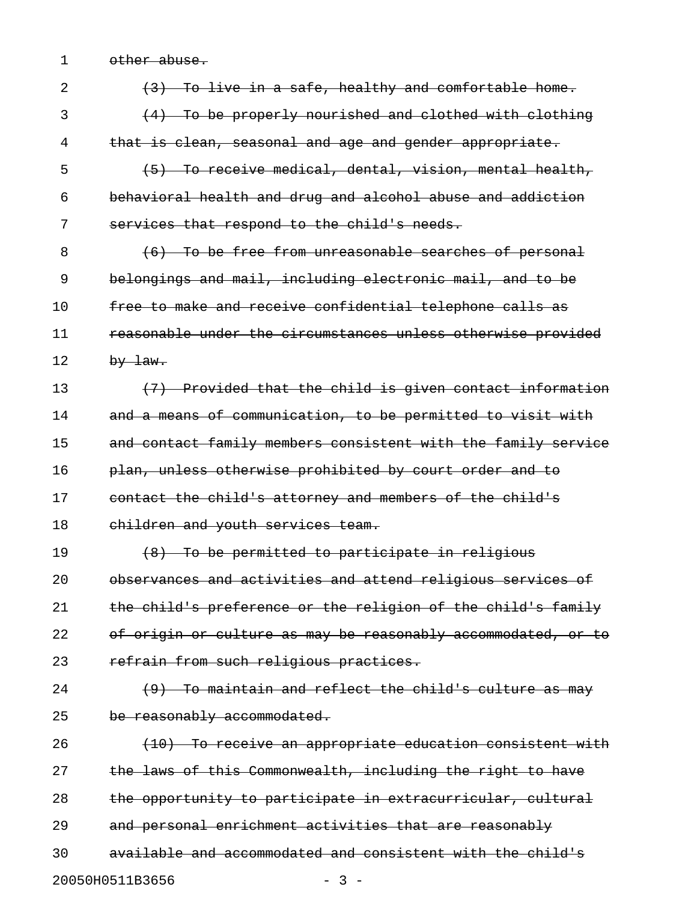1 other abuse.

| 2  | (3) To live in a safe, healthy and comfortable home.          |
|----|---------------------------------------------------------------|
| 3  | (4) To be properly nourished and clothed with clothing        |
| 4  | that is clean, seasonal and age and gender appropriate.       |
| 5  | (5) To receive medical, dental, vision, mental health,        |
| 6  | behavioral health and drug and alcohol abuse and addiction    |
| 7  | services that respond to the child's needs.                   |
| 8  | (6) To be free from unreasonable searches of personal         |
| 9  | belongings and mail, including electronic mail, and to be     |
| 10 | free to make and receive confidential telephone calls as      |
| 11 | reasonable under the circumstances unless otherwise provided  |
| 12 | $by$ law.                                                     |
| 13 | (7) Provided that the child is given contact information      |
| 14 | and a means of communication, to be permitted to visit with   |
| 15 | and contact family members consistent with the family service |
| 16 | plan, unless otherwise prohibited by court order and to       |
|    |                                                               |
| 17 | contact the child's attorney and members of the child's       |
| 18 | children and youth services team.                             |
| 19 | (8) To be permitted to participate in religious               |
| 20 | observances and activities and attend religious services of   |
| 21 | the child's preference or the religion of the child's family  |
| 22 | of origin or culture as may be reasonably accommodated, or to |
| 23 | refrain from such religious practices.                        |
| 24 | To maintain and reflect the child's culture as may            |
| 25 | be reasonably accommodated.                                   |
| 26 | (10) To receive an appropriate education consistent with      |
| 27 | the laws of this Commonwealth, including the right to have    |
| 28 | the opportunity to participate in extracurricular, cultural   |
| 29 | and personal enrichment activities that are reasonably        |
| 30 | available and accommodated and consistent with the child's    |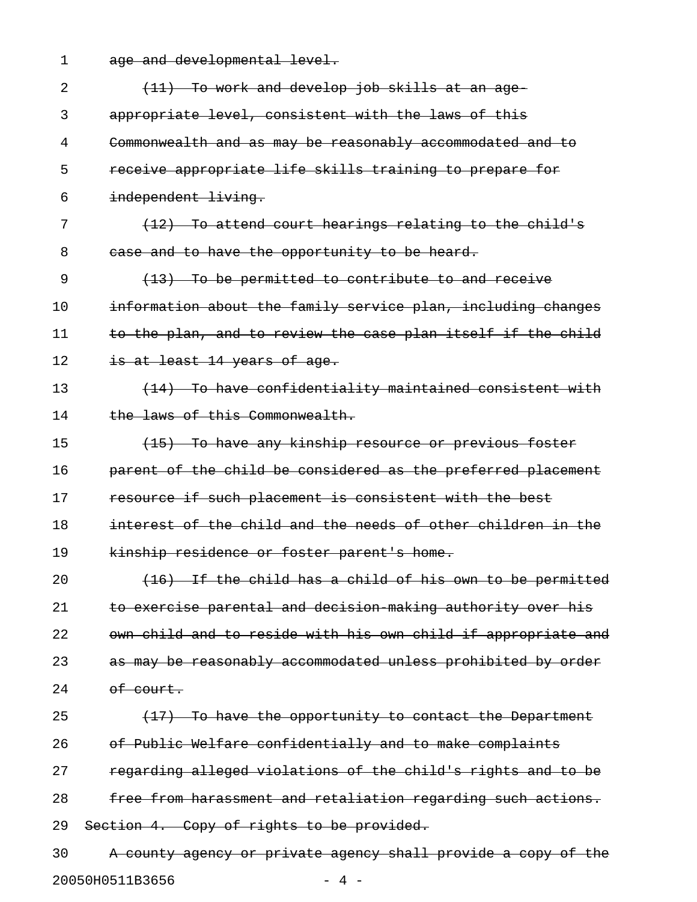1 age and developmental level.

| 2  | (11) To work and develop job skills at an age-                |
|----|---------------------------------------------------------------|
| 3  | appropriate level, consistent with the laws of this           |
| 4  | Commonwealth and as may be reasonably accommodated and to     |
| 5  | receive appropriate life skills training to prepare for       |
| 6  | independent living.                                           |
| 7  | $(12)$ To attend court hearings relating to the child's       |
| 8  | case and to have the opportunity to be heard.                 |
| 9  | $(13)$ To be permitted to contribute to and receive           |
| 10 | information about the family service plan, including changes  |
| 11 | to the plan, and to review the case plan itself if the child  |
| 12 | is at least 14 years of age.                                  |
| 13 | (14) To have confidentiality maintained consistent with       |
| 14 | the laws of this Commonwealth.                                |
| 15 | (15) To have any kinship resource or previous foster          |
| 16 | parent of the child be considered as the preferred placement  |
| 17 | resource if such placement is consistent with the best        |
| 18 | interest of the child and the needs of other children in the  |
| 19 | kinship residence or foster parent's home.                    |
| 20 | (16) If the child has a child of his own to be permitted      |
| 21 | to exercise parental and decision making authority over his   |
| 22 | own child and to reside with his own child if appropriate and |
| 23 | as may be reasonably accommodated unless prohibited by order  |
| 24 | of court.                                                     |
| 25 | $(17)$ To have the opportunity to contact the Department      |
| 26 | of Public Welfare confidentially and to make complaints       |
| 27 | regarding alleged violations of the child's rights and to be  |
| 28 | free from harassment and retaliation regarding such actions.  |
| 29 | Section 4. Copy of rights to be provided.                     |
| 30 | A county agency or private agency shall provide a copy of the |
|    | 20050H0511B3656<br>- 4 -                                      |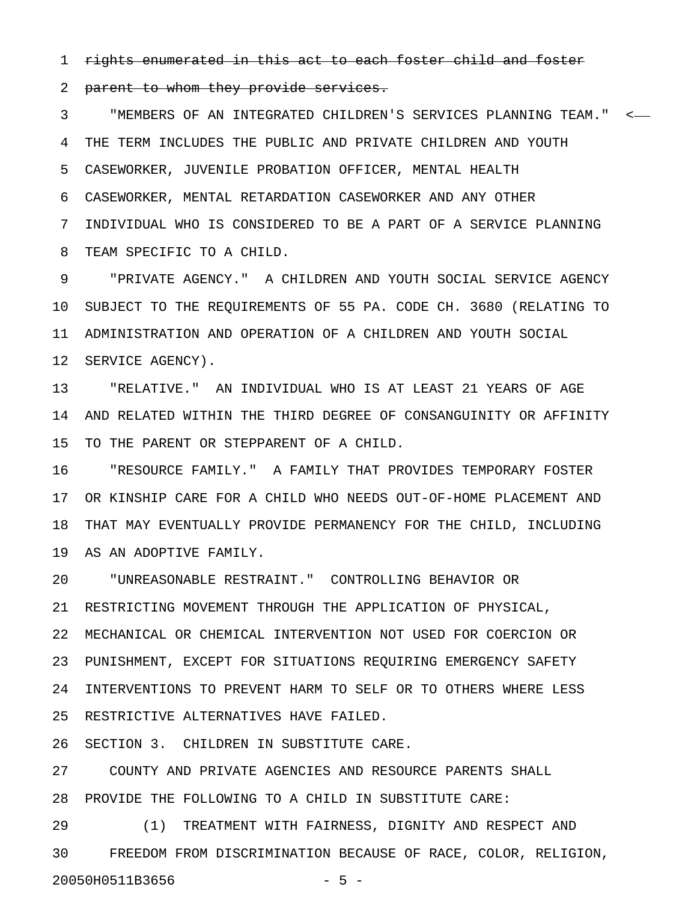1 rights enumerated in this act to each foster child and foster

2 parent to whom they provide services.

3 "MEMBERS OF AN INTEGRATED CHILDREN'S SERVICES PLANNING TEAM." < 4 THE TERM INCLUDES THE PUBLIC AND PRIVATE CHILDREN AND YOUTH 5 CASEWORKER, JUVENILE PROBATION OFFICER, MENTAL HEALTH 6 CASEWORKER, MENTAL RETARDATION CASEWORKER AND ANY OTHER 7 INDIVIDUAL WHO IS CONSIDERED TO BE A PART OF A SERVICE PLANNING 8 TEAM SPECIFIC TO A CHILD.

9 "PRIVATE AGENCY." A CHILDREN AND YOUTH SOCIAL SERVICE AGENCY 10 SUBJECT TO THE REQUIREMENTS OF 55 PA. CODE CH. 3680 (RELATING TO 11 ADMINISTRATION AND OPERATION OF A CHILDREN AND YOUTH SOCIAL 12 SERVICE AGENCY).

13 "RELATIVE." AN INDIVIDUAL WHO IS AT LEAST 21 YEARS OF AGE 14 AND RELATED WITHIN THE THIRD DEGREE OF CONSANGUINITY OR AFFINITY 15 TO THE PARENT OR STEPPARENT OF A CHILD.

16 "RESOURCE FAMILY." A FAMILY THAT PROVIDES TEMPORARY FOSTER 17 OR KINSHIP CARE FOR A CHILD WHO NEEDS OUT-OF-HOME PLACEMENT AND 18 THAT MAY EVENTUALLY PROVIDE PERMANENCY FOR THE CHILD, INCLUDING 19 AS AN ADOPTIVE FAMILY.

20 "UNREASONABLE RESTRAINT." CONTROLLING BEHAVIOR OR 21 RESTRICTING MOVEMENT THROUGH THE APPLICATION OF PHYSICAL, 22 MECHANICAL OR CHEMICAL INTERVENTION NOT USED FOR COERCION OR 23 PUNISHMENT, EXCEPT FOR SITUATIONS REQUIRING EMERGENCY SAFETY 24 INTERVENTIONS TO PREVENT HARM TO SELF OR TO OTHERS WHERE LESS 25 RESTRICTIVE ALTERNATIVES HAVE FAILED.

26 SECTION 3. CHILDREN IN SUBSTITUTE CARE.

27 COUNTY AND PRIVATE AGENCIES AND RESOURCE PARENTS SHALL 28 PROVIDE THE FOLLOWING TO A CHILD IN SUBSTITUTE CARE:

29 (1) TREATMENT WITH FAIRNESS, DIGNITY AND RESPECT AND 30 FREEDOM FROM DISCRIMINATION BECAUSE OF RACE, COLOR, RELIGION, 20050H0511B3656 - 5 -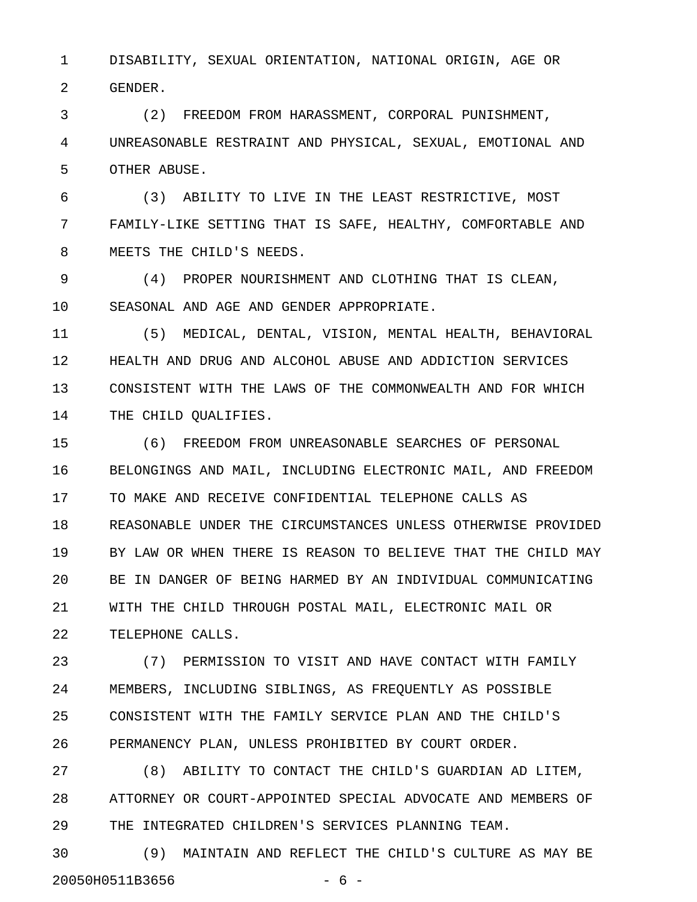1 DISABILITY, SEXUAL ORIENTATION, NATIONAL ORIGIN, AGE OR 2 GENDER.

3 (2) FREEDOM FROM HARASSMENT, CORPORAL PUNISHMENT, 4 UNREASONABLE RESTRAINT AND PHYSICAL, SEXUAL, EMOTIONAL AND 5 OTHER ABUSE.

6 (3) ABILITY TO LIVE IN THE LEAST RESTRICTIVE, MOST 7 FAMILY-LIKE SETTING THAT IS SAFE, HEALTHY, COMFORTABLE AND 8 MEETS THE CHILD'S NEEDS.

9 (4) PROPER NOURISHMENT AND CLOTHING THAT IS CLEAN, 10 SEASONAL AND AGE AND GENDER APPROPRIATE.

11 (5) MEDICAL, DENTAL, VISION, MENTAL HEALTH, BEHAVIORAL 12 HEALTH AND DRUG AND ALCOHOL ABUSE AND ADDICTION SERVICES 13 CONSISTENT WITH THE LAWS OF THE COMMONWEALTH AND FOR WHICH 14 THE CHILD QUALIFIES.

15 (6) FREEDOM FROM UNREASONABLE SEARCHES OF PERSONAL 16 BELONGINGS AND MAIL, INCLUDING ELECTRONIC MAIL, AND FREEDOM 17 TO MAKE AND RECEIVE CONFIDENTIAL TELEPHONE CALLS AS 18 REASONABLE UNDER THE CIRCUMSTANCES UNLESS OTHERWISE PROVIDED 19 BY LAW OR WHEN THERE IS REASON TO BELIEVE THAT THE CHILD MAY 20 BE IN DANGER OF BEING HARMED BY AN INDIVIDUAL COMMUNICATING 21 WITH THE CHILD THROUGH POSTAL MAIL, ELECTRONIC MAIL OR 22 TELEPHONE CALLS.

23 (7) PERMISSION TO VISIT AND HAVE CONTACT WITH FAMILY 24 MEMBERS, INCLUDING SIBLINGS, AS FREQUENTLY AS POSSIBLE 25 CONSISTENT WITH THE FAMILY SERVICE PLAN AND THE CHILD'S 26 PERMANENCY PLAN, UNLESS PROHIBITED BY COURT ORDER.

27 (8) ABILITY TO CONTACT THE CHILD'S GUARDIAN AD LITEM, 28 ATTORNEY OR COURT-APPOINTED SPECIAL ADVOCATE AND MEMBERS OF 29 THE INTEGRATED CHILDREN'S SERVICES PLANNING TEAM.

30 (9) MAINTAIN AND REFLECT THE CHILD'S CULTURE AS MAY BE 20050H0511B3656 - 6 -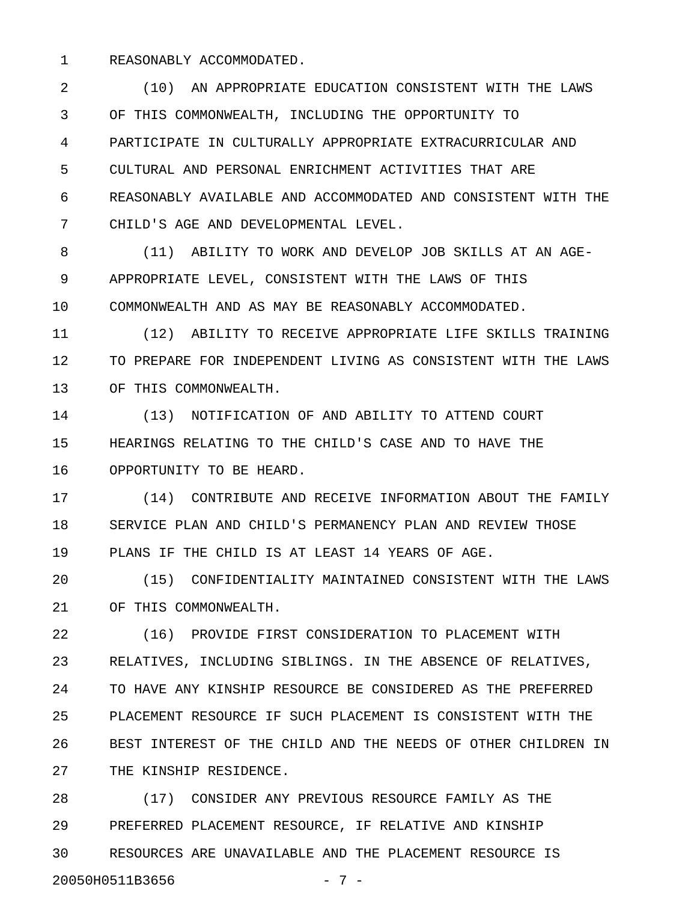1 REASONABLY ACCOMMODATED.

2 (10) AN APPROPRIATE EDUCATION CONSISTENT WITH THE LAWS 3 OF THIS COMMONWEALTH, INCLUDING THE OPPORTUNITY TO 4 PARTICIPATE IN CULTURALLY APPROPRIATE EXTRACURRICULAR AND 5 CULTURAL AND PERSONAL ENRICHMENT ACTIVITIES THAT ARE 6 REASONABLY AVAILABLE AND ACCOMMODATED AND CONSISTENT WITH THE 7 CHILD'S AGE AND DEVELOPMENTAL LEVEL.

8 (11) ABILITY TO WORK AND DEVELOP JOB SKILLS AT AN AGE-9 APPROPRIATE LEVEL, CONSISTENT WITH THE LAWS OF THIS 10 COMMONWEALTH AND AS MAY BE REASONABLY ACCOMMODATED.

11 (12) ABILITY TO RECEIVE APPROPRIATE LIFE SKILLS TRAINING 12 TO PREPARE FOR INDEPENDENT LIVING AS CONSISTENT WITH THE LAWS 13 OF THIS COMMONWEALTH.

14 (13) NOTIFICATION OF AND ABILITY TO ATTEND COURT 15 HEARINGS RELATING TO THE CHILD'S CASE AND TO HAVE THE 16 OPPORTUNITY TO BE HEARD.

17 (14) CONTRIBUTE AND RECEIVE INFORMATION ABOUT THE FAMILY 18 SERVICE PLAN AND CHILD'S PERMANENCY PLAN AND REVIEW THOSE 19 PLANS IF THE CHILD IS AT LEAST 14 YEARS OF AGE.

20 (15) CONFIDENTIALITY MAINTAINED CONSISTENT WITH THE LAWS 21 OF THIS COMMONWEALTH.

22 (16) PROVIDE FIRST CONSIDERATION TO PLACEMENT WITH 23 RELATIVES, INCLUDING SIBLINGS. IN THE ABSENCE OF RELATIVES, 24 TO HAVE ANY KINSHIP RESOURCE BE CONSIDERED AS THE PREFERRED 25 PLACEMENT RESOURCE IF SUCH PLACEMENT IS CONSISTENT WITH THE 26 BEST INTEREST OF THE CHILD AND THE NEEDS OF OTHER CHILDREN IN 27 THE KINSHIP RESIDENCE.

28 (17) CONSIDER ANY PREVIOUS RESOURCE FAMILY AS THE 29 PREFERRED PLACEMENT RESOURCE, IF RELATIVE AND KINSHIP 30 RESOURCES ARE UNAVAILABLE AND THE PLACEMENT RESOURCE IS 20050H0511B3656 - 7 -